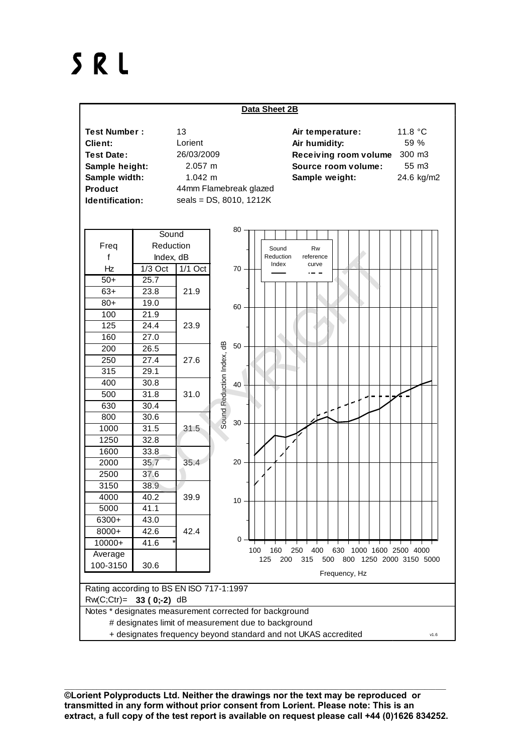## SRL



\_\_\_\_\_\_\_\_\_\_\_\_\_\_\_\_\_\_\_\_\_\_\_\_\_\_\_\_\_\_\_\_\_\_\_\_\_\_\_\_\_\_\_\_\_\_\_\_\_\_\_\_\_\_\_\_\_\_\_\_\_\_\_\_\_\_\_\_\_\_\_\_\_\_\_\_\_\_\_\_\_\_\_\_\_\_\_\_\_\_\_\_\_\_\_\_\_\_\_\_\_\_\_\_\_\_\_ **©Lorient Polyproducts Ltd. Neither the drawings nor the text may be reproduced or transmitted in any form without prior consent from Lorient. Please note: This is an extract, a full copy of the test report is available on request please call +44 (0)1626 834252.**